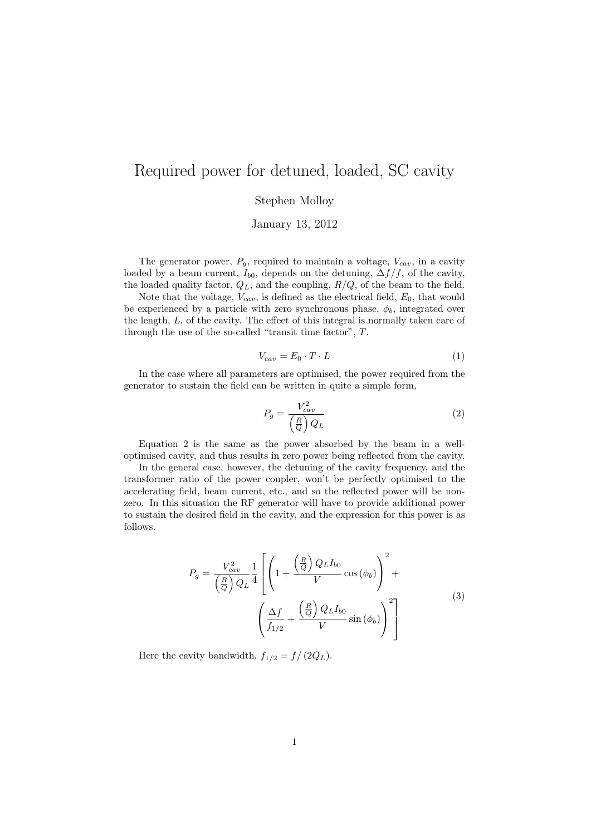## Required power for detuned, loaded, SC cavity

Stephen Molloy

January 13, 2012

The generator power,  $P_g$ , required to maintain a voltage,  $V_{cav}$ , in a cavity loaded by a beam current,  $I_{b0}$ , depends on the detuning,  $\Delta f/f$ , of the cavity, the loaded quality factor,  $Q_L$ , and the coupling,  $R/Q$ , of the beam to the field.

Note that the voltage,  $V_{cav}$ , is defined as the electrical field,  $E_0$ , that would be experienced by a particle with zero synchronous phase,  $\phi_b$ , integrated over the length, L, of the cavity. The effect of this integral is normally taken care of through the use of the so-called "transit time factor", T.

$$
V_{cav} = E_0 \cdot T \cdot L \tag{1}
$$

In the case where all parameters are optimised, the power required from the generator to sustain the field can be written in quite a simple form,

$$
P_g = \frac{V_{cav}^2}{\left(\frac{R}{Q}\right)Q_L} \tag{2}
$$

Equation 2 is the same as the power absorbed by the beam in a welloptimised cavity, and thus results in zero power being reflected from the cavity.

In the general case, however, the detuning of the cavity frequency, and the transformer ratio of the power coupler, won't be perfectly optimised to the accelerating field, beam current, etc., and so the reflected power will be nonzero. In this situation the RF generator will have to provide additional power to sustain the desired field in the cavity, and the expression for this power is as follows.

$$
P_g = \frac{V_{cav}^2}{\left(\frac{R}{Q}\right)Q_L}\frac{1}{4}\left[\left(1 + \frac{\left(\frac{R}{Q}\right)Q_LI_{b0}}{V}\cos\left(\phi_b\right)\right)^2 + \left(\frac{\Delta f}{f_{1/2}} + \frac{\left(\frac{R}{Q}\right)Q_LI_{b0}}{V}\sin\left(\phi_b\right)\right)^2\right]
$$
\n(3)

Here the cavity bandwidth,  $f_{1/2} = f/(2Q_L)$ .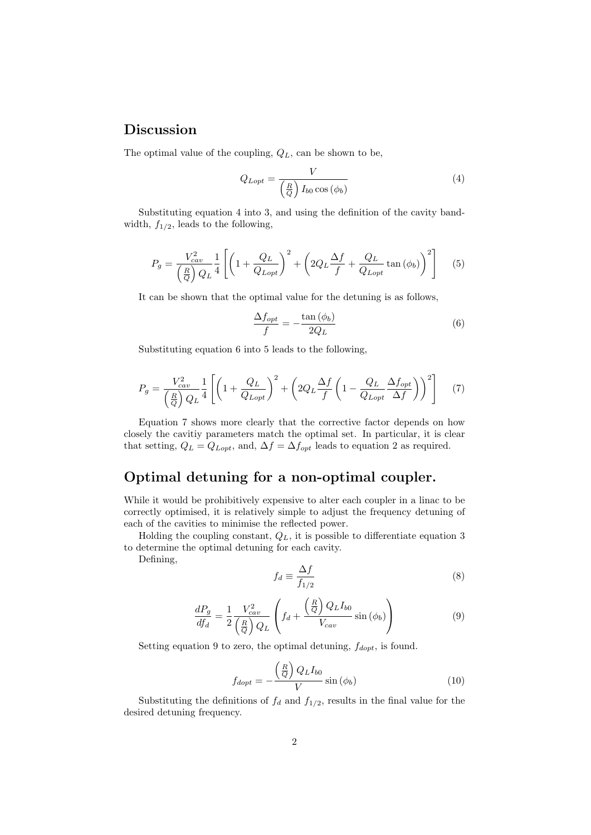## Discussion

The optimal value of the coupling,  $Q_L$ , can be shown to be,

$$
Q_{Lopt} = \frac{V}{\left(\frac{R}{Q}\right)I_{b0}\cos\left(\phi_b\right)}\tag{4}
$$

Substituting equation 4 into 3, and using the definition of the cavity bandwidth,  $f_{1/2}$ , leads to the following,

$$
P_g = \frac{V_{cav}^2}{\left(\frac{R}{Q}\right)Q_L}\frac{1}{4}\left[\left(1 + \frac{Q_L}{Q_{Lopt}}\right)^2 + \left(2Q_L\frac{\Delta f}{f} + \frac{Q_L}{Q_{Lopt}}\tan\left(\phi_b\right)\right)^2\right] \tag{5}
$$

It can be shown that the optimal value for the detuning is as follows,

$$
\frac{\Delta f_{opt}}{f} = -\frac{\tan\left(\phi_b\right)}{2Q_L} \tag{6}
$$

Substituting equation 6 into 5 leads to the following,

$$
P_g = \frac{V_{cav}^2}{\left(\frac{R}{Q}\right)Q_L}\frac{1}{4}\left[\left(1 + \frac{Q_L}{Q_{Lopt}}\right)^2 + \left(2Q_L\frac{\Delta f}{f}\left(1 - \frac{Q_L}{Q_{Lopt}}\frac{\Delta f_{opt}}{\Delta f}\right)\right)^2\right] \tag{7}
$$

Equation 7 shows more clearly that the corrective factor depends on how closely the cavitiy parameters match the optimal set. In particular, it is clear that setting,  $Q_L = Q_{Lopt}$ , and,  $\Delta f = \Delta f_{opt}$  leads to equation 2 as required.

## Optimal detuning for a non-optimal coupler.

While it would be prohibitively expensive to alter each coupler in a linac to be correctly optimised, it is relatively simple to adjust the frequency detuning of each of the cavities to minimise the reflected power.

Holding the coupling constant,  $Q_L$ , it is possible to differentiate equation 3 to determine the optimal detuning for each cavity.

Defining,

$$
f_d \equiv \frac{\Delta f}{f_{1/2}}\tag{8}
$$

$$
\frac{dP_g}{df_d} = \frac{1}{2} \frac{V_{cav}^2}{\left(\frac{R}{Q}\right) Q_L} \left( f_d + \frac{\left(\frac{R}{Q}\right) Q_L I_{b0}}{V_{cav}} \sin\left(\phi_b\right) \right) \tag{9}
$$

Setting equation 9 to zero, the optimal detuning,  $f_{dopt}$ , is found.

$$
f_{dopt} = -\frac{\left(\frac{R}{Q}\right)Q_L I_{b0}}{V} \sin\left(\phi_b\right) \tag{10}
$$

Substituting the definitions of  $f_d$  and  $f_{1/2}$ , results in the final value for the desired detuning frequency.